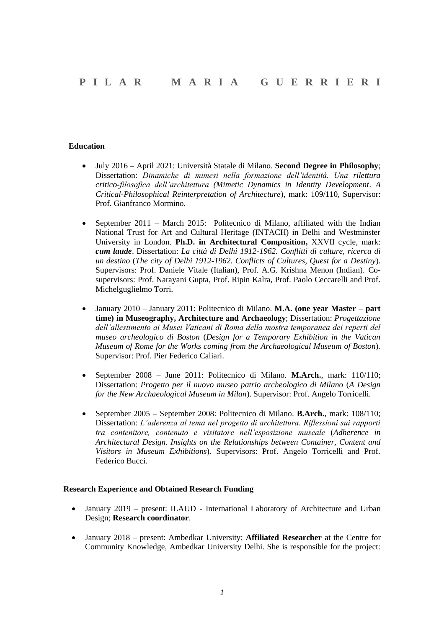## **Education**

- July 2016 April 2021: Università Statale di Milano. **Second Degree in Philosophy**; Dissertation: *Dinamiche di mimesi nella formazione dell'identità. Una rilettura critico-filosofica dell'architettura (Mimetic Dynamics in Identity Development*. *A Critical-Philosophical Reinterpretation of Architecture*), mark: 109/110, Supervisor: Prof. Gianfranco Mormino.
- September 2011 March 2015: Politecnico di Milano, affiliated with the Indian National Trust for Art and Cultural Heritage (INTACH) in Delhi and Westminster University in London. **Ph.D. in Architectural Composition,** XXVII cycle, mark: *cum laude*. Dissertation: *La città di Delhi 1912-1962. Conflitti di culture, ricerca di un destino* (*The city of Delhi 1912-1962. Conflicts of Cultures, Quest for a Destiny*). Supervisors: Prof. Daniele Vitale (Italian), Prof. A.G. Krishna Menon (Indian). Cosupervisors: Prof. Narayani Gupta, Prof. Ripin Kalra, Prof. Paolo Ceccarelli and Prof. Michelguglielmo Torri.
- January 2010 January 2011: Politecnico di Milano. **M.A. (one year Master – part time) in Museography, Architecture and Archaeology**; Dissertation: *Progettazione dell'allestimento ai Musei Vaticani di Roma della mostra temporanea dei reperti del museo archeologico di Boston* (*Design for a Temporary Exhibition in the Vatican Museum of Rome for the Works coming from the Archaeological Museum of Boston*)*.* Supervisor: Prof. Pier Federico Caliari.
- September 2008 June 2011: Politecnico di Milano. **M.Arch.**, mark: 110/110; Dissertation: *Progetto per il nuovo museo patrio archeologico di Milano* (*A Design for the New Archaeological Museum in Milan*). Supervisor: Prof. Angelo Torricelli.
- September 2005 September 2008: Politecnico di Milano. **B.Arch.**, mark: 108/110; Dissertation: *L'aderenza al tema nel progetto di architettura. Riflessioni sui rapporti tra contenitore, contenuto e visitatore nell'esposizione museale* (*Adherence in Architectural Design. Insights on the Relationships between Container, Content and Visitors in Museum Exhibitions*)*.* Supervisors: Prof. Angelo Torricelli and Prof. Federico Bucci.

### **Research Experience and Obtained Research Funding**

- January 2019 present: ILAUD International Laboratory of Architecture and Urban Design; **Research coordinator**.
- January 2018 present: Ambedkar University; **Affiliated Researcher** at the Centre for Community Knowledge, Ambedkar University Delhi. She is responsible for the project: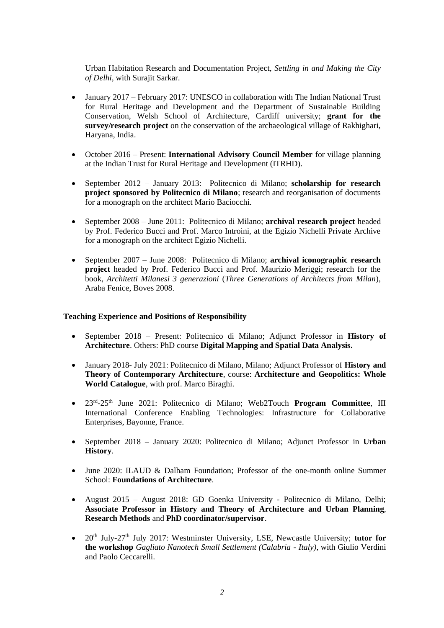Urban Habitation Research and Documentation Project, *Settling in and Making the City of Delhi,* with Surajit Sarkar.

- January 2017 February 2017: UNESCO in collaboration with The Indian National Trust for Rural Heritage and Development and the Department of Sustainable Building Conservation, Welsh School of Architecture, Cardiff university; **grant for the survey/research project** on the conservation of the archaeological village of Rakhighari, Haryana, India.
- October 2016 Present: **International Advisory Council Member** for village planning at the Indian Trust for Rural Heritage and Development (ITRHD).
- September 2012 January 2013: Politecnico di Milano; **scholarship for research project sponsored by Politecnico di Milano**; research and reorganisation of documents for a monograph on the architect Mario Baciocchi.
- September 2008 June 2011: Politecnico di Milano; **archival research project** headed by Prof. Federico Bucci and Prof. Marco Introini, at the Egizio Nichelli Private Archive for a monograph on the architect Egizio Nichelli.
- September 2007 June 2008: Politecnico di Milano; **archival iconographic research project** headed by Prof. Federico Bucci and Prof. Maurizio Meriggi; research for the book, *Architetti Milanesi 3 generazioni* (*Three Generations of Architects from Milan*), Araba Fenice, Boves 2008.

### **Teaching Experience and Positions of Responsibility**

- September 2018 Present: Politecnico di Milano; Adjunct Professor in **History of Architecture**. Others: PhD course **Digital Mapping and Spatial Data Analysis.**
- January 2018- July 2021: Politecnico di Milano, Milano; Adjunct Professor of **History and Theory of Contemporary Architecture**, course: **Architecture and Geopolitics: Whole World Catalogue**, with prof. Marco Biraghi.
- 23rd -25th June 2021: Politecnico di Milano; Web2Touch **Program Committee**, III International Conference Enabling Technologies: Infrastructure for Collaborative Enterprises, Bayonne, France.
- September 2018 January 2020: Politecnico di Milano; Adjunct Professor in **Urban History**.
- June 2020: ILAUD & Dalham Foundation: Professor of the one-month online Summer School: **Foundations of Architecture**.
- August 2015 August 2018: GD Goenka University Politecnico di Milano, Delhi; **Associate Professor in History and Theory of Architecture and Urban Planning**, **Research Methods** and **PhD coordinator/supervisor**.
- 20<sup>th</sup> July-27<sup>th</sup> July 2017: Westminster University, LSE, Newcastle University; **tutor for the workshop** *Gagliato Nanotech Small Settlement (Calabria - Italy),* with Giulio Verdini and Paolo Ceccarelli.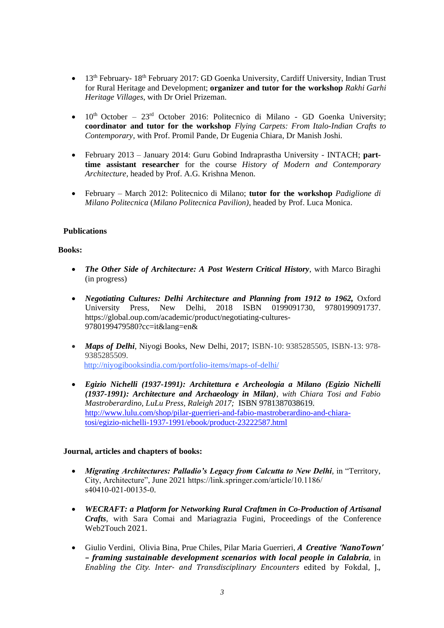- 13<sup>th</sup> February- 18<sup>th</sup> February 2017: GD Goenka University, Cardiff University, Indian Trust for Rural Heritage and Development; **organizer and tutor for the workshop** *Rakhi Garhi Heritage Villages*, with Dr Oriel Prizeman.
- $10<sup>th</sup> October 23<sup>rd</sup> October 2016$ : Politecnico di Milano GD Goenka University; **coordinator and tutor for the workshop** *Flying Carpets: From Italo-Indian Crafts to Contemporary,* with Prof. Promil Pande, Dr Eugenia Chiara, Dr Manish Joshi.
- February 2013 January 2014: Guru Gobind Indraprastha University INTACH; **parttime assistant researcher** for the course *History of Modern and Contemporary Architecture,* headed by Prof. A.G. Krishna Menon.
- February March 2012: Politecnico di Milano; **tutor for the workshop** *Padiglione di Milano Politecnica* (*Milano Politecnica Pavilion)*, headed by Prof. Luca Monica.

# **Publications**

### **Books:**

- *The Other Side of Architecture: A Post Western Critical History*, with Marco Biraghi (in progress)
- *Negotiating Cultures: Delhi Architecture and Planning from 1912 to 1962,* Oxford University Press, New Delhi, 2018 ISBN 0199091730, 9780199091737. https://global.oup.com/academic/product/negotiating-cultures-9780199479580?cc=it&lang=en&
- *Maps of Delhi*, Niyogi Books, New Delhi, 2017; ISBN-10: 9385285505, ISBN-13: 978- 9385285509. http://niyogibooksindia.com/portfolio-items/maps-of-delhi/
- *Egizio Nichelli (1937-1991): Architettura e Archeologia a Milano (Egizio Nichelli (1937-1991): Architecture and Archaeology in Milan), with Chiara Tosi and Fabio Mastroberardino, LuLu Press, Raleigh 2017;* ISBN 9781387038619. [http://www.lulu.com/shop/pilar-guerrieri-and-fabio-mastroberardino-and-chiara](http://www.lulu.com/shop/pilar-guerrieri-and-fabio-mastroberardino-and-chiara-tosi/egizio-nichelli-1937-1991/ebook/product-23222587.html)[tosi/egizio-nichelli-1937-1991/ebook/product-23222587.html](http://www.lulu.com/shop/pilar-guerrieri-and-fabio-mastroberardino-and-chiara-tosi/egizio-nichelli-1937-1991/ebook/product-23222587.html)

### **Journal, articles and chapters of books:**

- *Migrating Architectures: Palladio's Legacy from Calcutta to New Delhi,* in "Territory, City, Architecture", June 2021 https://link.springer.com/article/10.1186/ s40410-021-00135-0.
- *WECRAFT: a Platform for Networking Rural Craftmen in Co-Production of Artisanal Crafts*, with Sara Comai and Mariagrazia Fugini, Proceedings of the Conference Web2Touch 2021.
- Giulio Verdini, Olivia Bina, Prue Chiles, Pilar Maria Guerrieri, *A Creative 'NanoTown' – framing sustainable development scenarios with local people in Calabria*, in *Enabling the City. Inter- and Transdisciplinary Encounters* edited by Fokdal, J.,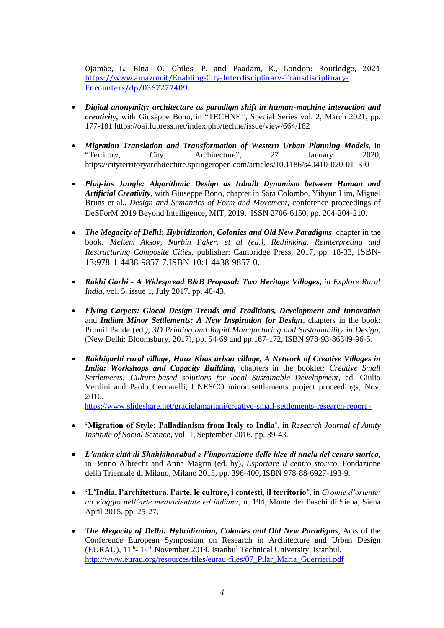Ojamäe, L., Bina, O., Chiles, P. and Paadam, K., London: Routledge, 2021 [https://www.amazon.it/Enabling-City-Interdisciplinary-Transdisciplinary-](https://www.amazon.it/Enabling-City-Interdisciplinary-Transdisciplinary-Encounters/dp/0367277409)[Encounters/dp/0367277409.](https://www.amazon.it/Enabling-City-Interdisciplinary-Transdisciplinary-Encounters/dp/0367277409)

- *Digital anonymity: architecture as paradigm shift in human-machine interaction and creativity,* with Giuseppe Bono, in "TECHNE*",* Special Series vol. 2, March 2021, pp. 177-181 https://oaj.fupress.net/index.php/techne/issue/view/664/182
- *Migration Translation and Transformation of Western Urban Planning Models,* in "Territory, City, Architecture", 27 January 2020, https://cityterritoryarchitecture.springeropen.com/articles/10.1186/s40410-020-0113-0
- *Plug-ins Jungle: Algorithmic Design as Inbuilt Dynamism between Human and Artificial Creativity,* with Giuseppe Bono, chapter in Sara Colombo, Yihyun Lim, Miguel Bruns et al., *Design and Semantics of Form and Movement,* conference proceedings of DeSForM 2019 Beyond Intelligence, MIT, 2019, ISSN 2706-6150, pp. 204-204-210.
- *The Megacity of Delhi: Hybridization, Colonies and Old New Paradigms,* chapter in the book*: Meltem Aksoy, Nurbin Paker, et al (ed.), Rethinking, Reinterpreting and Restructuring Composite Cities*, publisher: Cambridge Press, 2017, pp. 18-33, ISBN-13:978-1-4438-9857-7,ISBN-10:1-4438-9857-0.
- *Rakhi Garhi - A Widespread B&B Proposal: Two Heritage Villages, in Explore Rural India,* vol. 5, issue 1, July 2017, pp. 40-43.
- *Flying Carpets: Glocal Design Trends and Traditions, Development and Innovation* and *Indian Minor Settlements: A New Inspiration for Design,* chapters in the book: Promil Pande (ed*.), 3D Printing and Rapid Manufacturing and Sustainability in Design*, (New Delhi: Bloomsbury, 2017), pp. 54-69 and pp.167-172, ISBN 978-93-86349-96-5.
- *Rakhigarhi rural village, Hauz Khas urban village, A Network of Creative Villages in India: Workshops and Capacity Building,* chapters in the booklet*: Creative Small Settlements: Culture-based solutions for local Sustainable Development*, ed. Giulio Verdini and Paolo Ceccarelli, UNESCO minor settlements project proceedings, Nov. 2016.

https://www.slideshare.net/gracielamariani/creative-small-settlements-research-report -

- **'Migration of Style: Palladianism from Italy to India',** in *Research Journal of Amity Institute of Social Science*, vol. 1, September 2016, pp. 39-43.
- *L'antica città di Shahjahanabad e l'importazione delle idee di tutela del centro storico*, in Benno Albrecht and Anna Magrin (ed. by), *Esportare il centro storico*, Fondazione della Triennale di Milano, Milano 2015, pp. 396-400, ISBN 978-88-6927-193-9.
- **'L'India, l'architettura, l'arte, le culture, i contesti, il territorio'**, in *Cromie d'oriente: un viaggio nell'arte mediorientale ed indiana*, n. 194, Monte dei Paschi di Siena, Siena April 2015, pp. 25-27.
- *The Megacity of Delhi: Hybridization, Colonies and Old New Paradigms*, Acts of the Conference European Symposium on Research in Architecture and Urban Design (EURAU), 11<sup>th</sup>-14<sup>th</sup> November 2014, Istanbul Technical University, Istanbul. http://www.eurau.org/resources/files/eurau-files/07\_Pilar\_Maria\_Guerrieri.pdf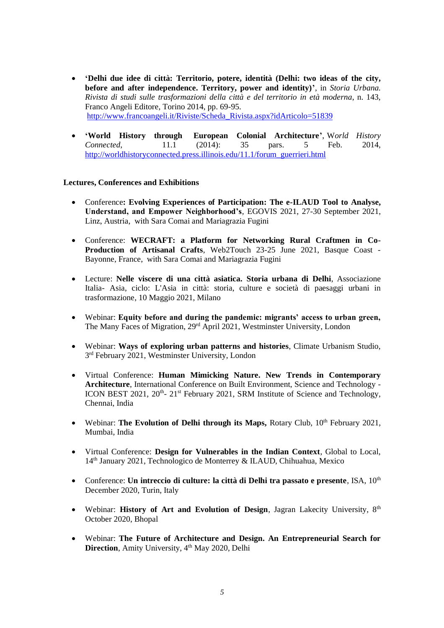- **'Delhi due idee di città: Territorio, potere, identità (Delhi: two ideas of the city, before and after independence. Territory, power and identity)'**, in *Storia Urbana. Rivista di studi sulle trasformazioni della città e del territorio in età moderna*, n. 143, Franco Angeli Editore, Torino 2014, pp. 69-95. [http://www.francoangeli.it/Riviste/Scheda\\_Rivista.aspx?idArticolo=51839](http://www.francoangeli.it/Riviste/Scheda_Rivista.aspx?idArticolo=51839)
- **'World History through European Colonial Architecture'**, W*orld History Connected*, 11.1 (2014): 35 pars. 5 Feb. [http://worldhistoryconnected.press.illinois.edu/11.1/forum\\_guerrieri.html](http://worldhistoryconnected.press.illinois.edu/11.1/forum_guerrieri.html)

# **Lectures, Conferences and Exhibitions**

- Conference**: Evolving Experiences of Participation: The e-ILAUD Tool to Analyse, Understand, and Empower Neighborhood's**, EGOVIS 2021, 27-30 September 2021, Linz, Austria, with Sara Comai and Mariagrazia Fugini
- Conference: **WECRAFT: a Platform for Networking Rural Craftmen in Co-Production of Artisanal Crafts**, Web2Touch 23-25 June 2021, Basque Coast - Bayonne, France, with Sara Comai and Mariagrazia Fugini
- Lecture: **Nelle viscere di una città asiatica. Storia urbana di Delhi**, Associazione Italia- Asia, ciclo: L'Asia in città: storia, culture e società di paesaggi urbani in trasformazione, 10 Maggio 2021, Milano
- Webinar: **Equity before and during the pandemic: migrants' access to urban green,** The Many Faces of Migration, 29<sup>rd</sup> April 2021, Westminster University, London
- Webinar: **Ways of exploring urban patterns and histories**, Climate Urbanism Studio, 3<sup>rd</sup> February 2021, Westminster University, London
- Virtual Conference: **Human Mimicking Nature. New Trends in Contemporary Architecture**, International Conference on Built Environment, Science and Technology - ICON BEST 2021, 20<sup>th</sup>- 21<sup>st</sup> February 2021, SRM Institute of Science and Technology, Chennai, India
- Webinar: **The Evolution of Delhi through its Maps, Rotary Club, 10<sup>th</sup> February 2021,** Mumbai, India
- Virtual Conference: **Design for Vulnerables in the Indian Context**, Global to Local, 14th January 2021, Technologico de Monterrey & ILAUD, Chihuahua, Mexico
- Conference: Un intreccio di culture: la città di Delhi tra passato e presente, ISA, 10<sup>th</sup> December 2020, Turin, Italy
- Webinar: **History of Art and Evolution of Design**, Jagran Lakecity University, 8th October 2020, Bhopal
- Webinar: **The Future of Architecture and Design. An Entrepreneurial Search for Direction**, Amity University, 4<sup>th</sup> May 2020, Delhi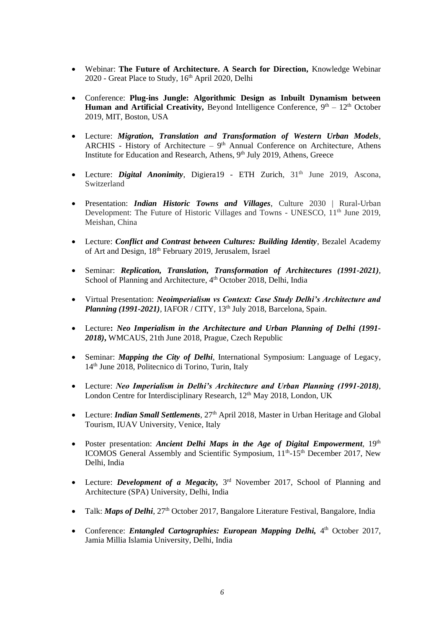- Webinar: **The Future of Architecture. A Search for Direction***,* Knowledge Webinar 2020 - Great Place to Study, 16<sup>th</sup> April 2020, Delhi
- Conference: **Plug-ins Jungle: Algorithmic Design as Inbuilt Dynamism between** Human and Artificial Creativity, Beyond Intelligence Conference, 9<sup>th</sup> – 12<sup>th</sup> October 2019, MIT, Boston, USA
- Lecture: *Migration, Translation and Transformation of Western Urban Models*, ARCHIS - History of Architecture  $-9<sup>th</sup>$  Annual Conference on Architecture, Athens Institute for Education and Research, Athens, 9<sup>th</sup> July 2019, Athens, Greece
- Lecture: *Digital Anonimity*, Digiera19 ETH Zurich, 31<sup>th</sup> June 2019, Ascona, Switzerland
- Presentation: *Indian Historic Towns and Villages*, Culture 2030 | Rural-Urban Development: The Future of Historic Villages and Towns - UNESCO, 11<sup>th</sup> June 2019, Meishan, China
- Lecture: *Conflict and Contrast between Cultures: Building Identity*, Bezalel Academy of Art and Design, 18th February 2019, Jerusalem, Israel
- Seminar: *Replication, Translation, Transformation of Architectures (1991-2021),* School of Planning and Architecture, 4<sup>th</sup> October 2018, Delhi, India
- Virtual Presentation: *Neoimperialism vs Context: Case Study Delhi's Architecture and Planning (1991-2021)*, IAFOR / CITY, 13<sup>th</sup> July 2018, Barcelona, Spain.
- Lecture**:** *Neo Imperialism in the Architecture and Urban Planning of Delhi (1991- 2018)***,** WMCAUS, 21th June 2018, Prague, Czech Republic
- Seminar: *Mapping the City of Delhi*, International Symposium: Language of Legacy, 14th June 2018, Politecnico di Torino, Turin, Italy
- Lecture: *Neo Imperialism in Delhi's Architecture and Urban Planning (1991-2018)*, London Centre for Interdisciplinary Research, 12<sup>th</sup> May 2018, London, UK
- Lecture: *Indian Small Settlements*, 27<sup>th</sup> April 2018, Master in Urban Heritage and Global Tourism, IUAV University, Venice, Italy
- Poster presentation: *Ancient Delhi Maps in the Age of Digital Empowerment*, 19<sup>th</sup> ICOMOS General Assembly and Scientific Symposium, 11<sup>th</sup>-15<sup>th</sup> December 2017, New Delhi, India
- Lecture: *Development of a Megacity*, 3<sup>rd</sup> November 2017, School of Planning and Architecture (SPA) University, Delhi, India
- Talk: *Maps of Delhi*, 27<sup>th</sup> October 2017, Bangalore Literature Festival, Bangalore, India
- Conference: *Entangled Cartographies: European Mapping Delhi*, 4<sup>th</sup> October 2017, Jamia Millia Islamia University, Delhi, India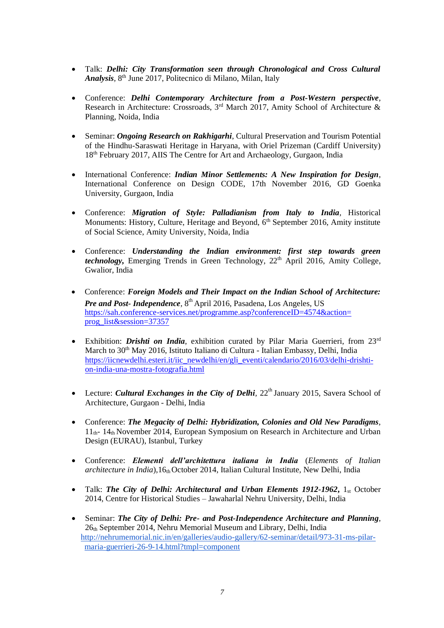- Talk: *Delhi: City Transformation seen through Chronological and Cross Cultural Analysis,* 8 th June 2017, Politecnico di Milano, Milan, Italy
- Conference: *Delhi Contemporary Architecture from a Post-Western perspective,* Research in Architecture: Crossroads,  $3<sup>rd</sup>$  March 2017, Amity School of Architecture & Planning, Noida, India
- Seminar: *Ongoing Research on Rakhigarhi*, Cultural Preservation and Tourism Potential of the Hindhu-Saraswati Heritage in Haryana, with Oriel Prizeman (Cardiff University) 18th February 2017, AIIS The Centre for Art and Archaeology, Gurgaon, India
- International Conference: *Indian Minor Settlements: A New Inspiration for Design*, International Conference on Design CODE, 17th November 2016, GD Goenka University, Gurgaon, India
- Conference: *Migration of Style: Palladianism from Italy to India,* Historical Monuments: History, Culture, Heritage and Beyond,  $6<sup>th</sup>$  September 2016, Amity institute of Social Science, Amity University, Noida, India
- Conference: *Understanding the Indian environment: first step towards green technology*, Emerging Trends in Green Technology, 22<sup>th</sup> April 2016, Amity College, Gwalior, India
- Conference: *Foreign Models and Their Impact on the Indian School of Architecture: Pre and Post- Independence,* 8 th April 2016, Pasadena, Los Angeles, US https://sah.conference-services.net/programme.asp?conferenceID=4574&action= prog\_list&session=37357
- Exhibition: *Drishti on India*, exhibition curated by Pilar Maria Guerrieri, from 23rd March to 30th May 2016, Istituto Italiano di Cultura - Italian Embassy, Delhi, India [https://iicnewdelhi.esteri.it/iic\\_newdelhi/en/gli\\_eventi/calendario/2016/03/delhi-drishti](https://iicnewdelhi.esteri.it/iic_newdelhi/en/gli_eventi/calendario/2016/03/delhi-drishti-on-india-una-mostra-fotografia.html)[on-india-una-mostra-fotografia.html](https://iicnewdelhi.esteri.it/iic_newdelhi/en/gli_eventi/calendario/2016/03/delhi-drishti-on-india-una-mostra-fotografia.html)
- Lecture: *Cultural Exchanges in the City of Delhi*,  $22<sup>th</sup>$  January 2015, Savera School of Architecture, Gurgaon - Delhi, India
- Conference: *The Megacity of Delhi: Hybridization, Colonies and Old New Paradigms*, 11th- 14th November 2014, European Symposium on Research in Architecture and Urban Design (EURAU), Istanbul, Turkey
- Conference: *Elementi dell'architettura italiana in India* (*Elements of Italian architecture in India*), 16<sup>th</sup> October 2014, Italian Cultural Institute, New Delhi, India
- Talk: *The City of Delhi: Architectural and Urban Elements 1912-1962*, 1<sub>st</sub> October 2014, Centre for Historical Studies – Jawaharlal Nehru University, Delhi, India
- Seminar: *The City of Delhi: Pre- and Post-Independence Architecture and Planning*, 26th September 2014, Nehru Memorial Museum and Library, Delhi, India [http://nehrumemorial.nic.in/en/galleries/audio-gallery/62-seminar/detail/973-31-ms-pilar](http://nehrumemorial.nic.in/en/galleries/audio-gallery/62-seminar/detail/973-31-ms-pilar-maria-guerrieri-26-9-14.html?tmpl=component)[maria-guerrieri-26-9-14.html?tmpl=component](http://nehrumemorial.nic.in/en/galleries/audio-gallery/62-seminar/detail/973-31-ms-pilar-maria-guerrieri-26-9-14.html?tmpl=component)